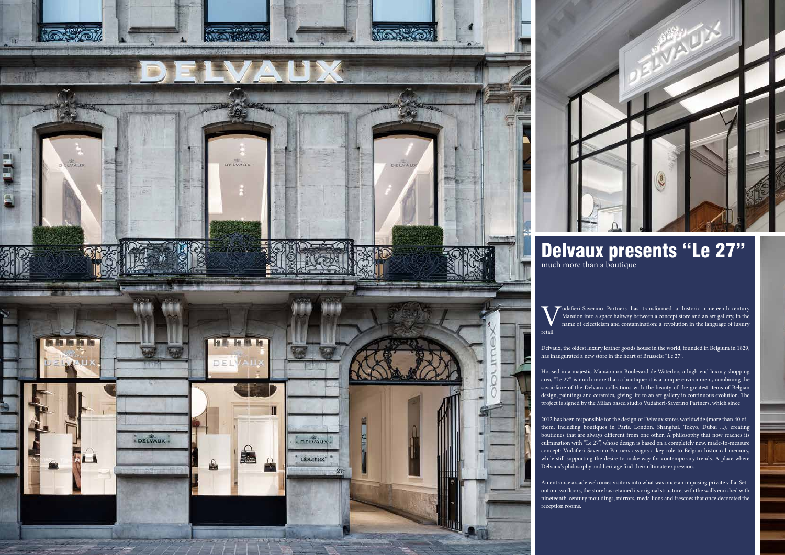Mansion into a space halfway between a concept store and an art gallery, in the name of eclecticism and contamination: a revolution in the language of luxury

Delvaux, the oldest luxury leather goods house in the world, founded in Belgium in 1829, has inaugurated a new store in the heart of Brussels: "Le 27".

Housed in a majestic Mansion on Boulevard de Waterloo, a high-end luxury shopping area, "Le 27" is much more than a boutique: it is a unique environment, combining the savoirfaire of the Delvaux collections with the beauty of the greatest items of Belgian design, paintings and ceramics, giving life to an art gallery in continuous evolution. The project is signed by the Milan based studio Vudafieri-Saverino Partners, which since

2012 has been responsible for the design of Delvaux stores worldwide (more than 40 of them, including boutiques in Paris, London, Shanghai, Tokyo, Dubai ...), creating boutiques that are always different from one other. A philosophy that now reaches its culmination with "Le 27", whose design is based on a completely new, made-to-measure concept: Vudafieri-Saverino Partners assigns a key role to Belgian historical memory, while still supporting the desire to make way for contemporary trends. A place where Delvaux's philosophy and heritage find their ultimate expression.

An entrance arcade welcomes visitors into what was once an imposing private villa. Set out on two floors, the store has retained its original structure, with the walls enriched with nineteenth-century mouldings, mirrors, medallions and frescoes that once decorated the





## Delvaux presents "Le 27"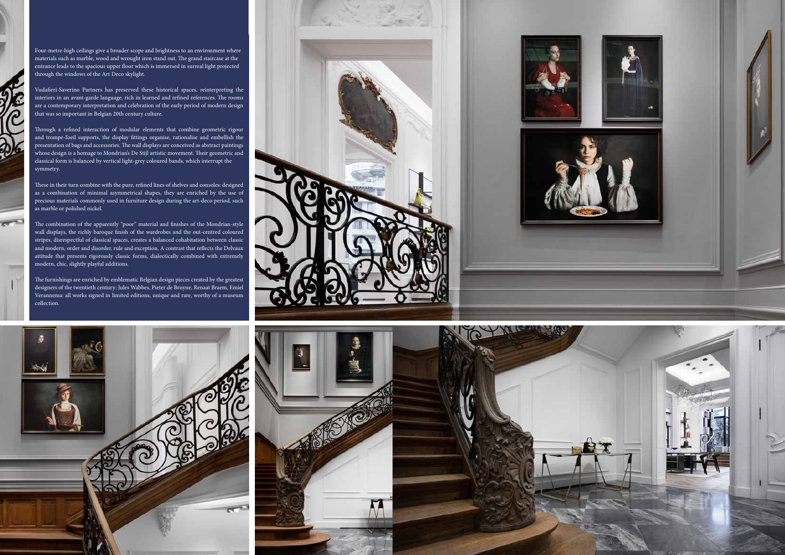

 $\overline{\mathbf{C}}$ 

 $\widehat{\bm{d}}$ 



Four-metre-high ceilings give a broader scope and brightness to an environment where materials such as marble, wood and wrought iron stand out. The grand staircase at the entrance leads to the spacious upper floor which is immersed in surreal light projected through the windows of the Art Deco skylight.

Vudafieri-Saverino Partners has preserved these historical spaces, reinterpreting the interiors in an avant-garde language, rich in learned and refined references. The rooms are a contemporary interpretation and celebration of the early period of modern design that was so important in Belgian 20th century culture.

Through a refined interaction of modular elements that combine geometric rigour and trompe-l'oeil supports, the display fittings organise, rationalise and embellish the presentation of bags and accessories. The wall displays are conceived as abstract paintings whose design is a homage to Mondrian's De Stijl artistic movement. Their geometric and classical form is balanced by vertical light-grey coloured bands, which interrupt the symmetry.

These in their turn combine with the pure, refined lines of shelves and consoles: designed as a combination of minimal asymmetrical shapes, they are enriched by the use of precious materials commonly used in furniture design during the art-deco period, such as marble or polished nickel.

The combination of the apparently "poor" material and finishes of the Mondrian-style wall displays, the richly baroque finish of the wardrobes and the out-centred coloured stripes, disrespectful of classical spaces, creates a balanced cohabitation between classic and modern, order and disorder, rule and exception. A contrast that reflects the Delvaux attitude that presents rigorously classic forms, dialectically combined with extremely modern, chic, slightly playful additions.

The furnishings are enriched by emblematic Belgian design pieces created by the greatest designers of the twentieth century: Jules Wabbes, Pieter de Bruyne, Renaat Braem, Emiel Verannema: all works signed in limited editions, unique and rare, worthy of a museum collection.